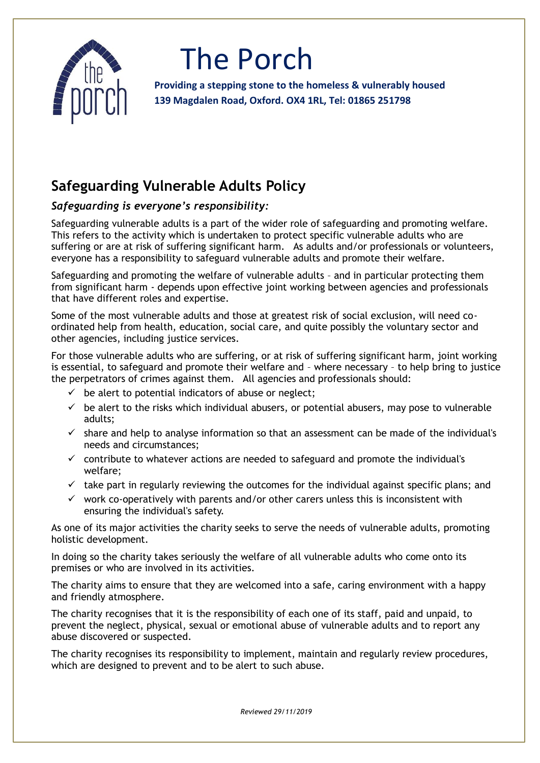

## The Porch

**Providing a stepping stone to the homeless & vulnerably housed 139 Magdalen Road, Oxford. OX4 1RL, Tel: 01865 251798**

### **Safeguarding Vulnerable Adults Policy**

#### *Safeguarding is everyone's responsibility:*

Safeguarding vulnerable adults is a part of the wider role of safeguarding and promoting welfare. This refers to the activity which is undertaken to protect specific vulnerable adults who are suffering or are at risk of suffering significant harm. As adults and/or professionals or volunteers, everyone has a responsibility to safeguard vulnerable adults and promote their welfare.

Safeguarding and promoting the welfare of vulnerable adults – and in particular protecting them from significant harm - depends upon effective joint working between agencies and professionals that have different roles and expertise.

Some of the most vulnerable adults and those at greatest risk of social exclusion, will need coordinated help from health, education, social care, and quite possibly the voluntary sector and other agencies, including justice services.

For those vulnerable adults who are suffering, or at risk of suffering significant harm, joint working is essential, to safeguard and promote their welfare and – where necessary – to help bring to justice the perpetrators of crimes against them. All agencies and professionals should:

- $\checkmark$  be alert to potential indicators of abuse or neglect;
- $\checkmark$  be alert to the risks which individual abusers, or potential abusers, may pose to vulnerable adults;
- $\checkmark$  share and help to analyse information so that an assessment can be made of the individual's needs and circumstances;
- $\checkmark$  contribute to whatever actions are needed to safeguard and promote the individual's welfare;
- $\checkmark$  take part in regularly reviewing the outcomes for the individual against specific plans; and
- $\checkmark$  work co-operatively with parents and/or other carers unless this is inconsistent with ensuring the individual's safety.

As one of its major activities the charity seeks to serve the needs of vulnerable adults, promoting holistic development.

In doing so the charity takes seriously the welfare of all vulnerable adults who come onto its premises or who are involved in its activities.

The charity aims to ensure that they are welcomed into a safe, caring environment with a happy and friendly atmosphere.

The charity recognises that it is the responsibility of each one of its staff, paid and unpaid, to prevent the neglect, physical, sexual or emotional abuse of vulnerable adults and to report any abuse discovered or suspected.

The charity recognises its responsibility to implement, maintain and regularly review procedures, which are designed to prevent and to be alert to such abuse.

*Reviewed 29/11/2019*